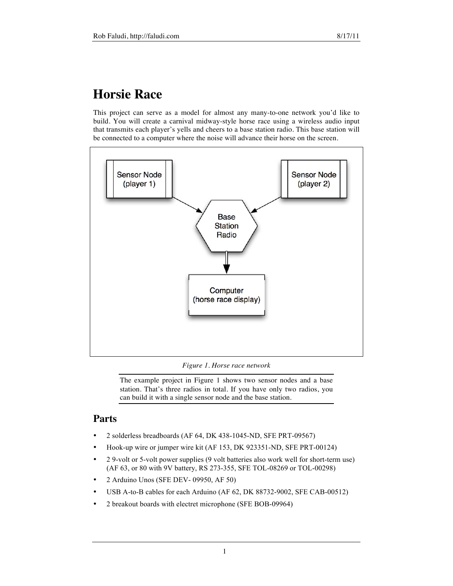# **Horsie Race**

This project can serve as a model for almost any many-to-one network you'd like to build. You will create a carnival midway-style horse race using a wireless audio input that transmits each player's yells and cheers to a base station radio. This base station will be connected to a computer where the noise will advance their horse on the screen.



*Figure 1. Horse race network*

The example project in Figure 1 shows two sensor nodes and a base station. That's three radios in total. If you have only two radios, you can build it with a single sensor node and the base station.

# **Parts**

- 2 solderless breadboards (AF 64, DK 438-1045-ND, SFE PRT-09567)
- Hook-up wire or jumper wire kit (AF 153, DK 923351-ND, SFE PRT-00124)
- 2 9-volt or 5-volt power supplies (9 volt batteries also work well for short-term use) (AF 63, or 80 with 9V battery, RS 273-355, SFE TOL-08269 or TOL-00298)
- 2 Arduino Unos (SFE DEV- 09950, AF 50)
- USB A-to-B cables for each Arduino (AF 62, DK 88732-9002, SFE CAB-00512)
- 2 breakout boards with electret microphone (SFE BOB-09964)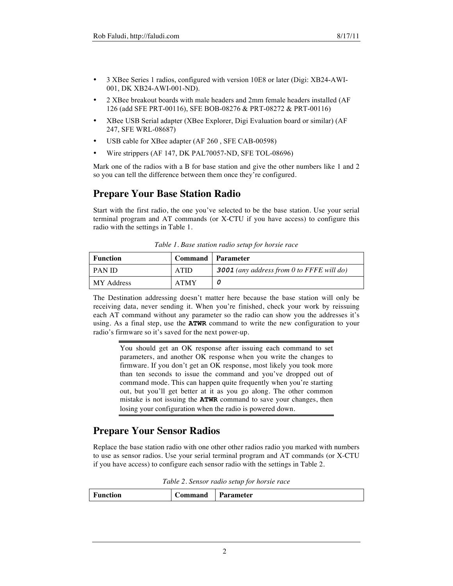- 3 XBee Series 1 radios, configured with version 10E8 or later (Digi: XB24-AWI-001, DK XB24-AWI-001-ND).
- 2 XBee breakout boards with male headers and 2mm female headers installed (AF 126 (add SFE PRT-00116), SFE BOB-08276 & PRT-08272 & PRT-00116)
- XBee USB Serial adapter (XBee Explorer, Digi Evaluation board or similar) (AF 247, SFE WRL-08687)
- USB cable for XBee adapter (AF 260, SFE CAB-00598)
- Wire strippers (AF 147, DK PAL70057-ND, SFE TOL-08696)

Mark one of the radios with a B for base station and give the other numbers like 1 and 2 so you can tell the difference between them once they're configured.

### **Prepare Your Base Station Radio**

Start with the first radio, the one you've selected to be the base station. Use your serial terminal program and AT commands (or X-CTU if you have access) to configure this radio with the settings in Table 1.

| <b>Function</b> | Command   Parameter |                                                  |
|-----------------|---------------------|--------------------------------------------------|
| <b>PAN ID</b>   | <b>ATID</b>         | <b>3001</b> (any address from 0 to FFFE will do) |
| MY Address      | <b>ATMY</b>         |                                                  |

*Table 1. Base station radio setup for horsie race*

The Destination addressing doesn't matter here because the base station will only be receiving data, never sending it. When you're finished, check your work by reissuing each AT command without any parameter so the radio can show you the addresses it's using. As a final step, use the **ATWR** command to write the new configuration to your radio's firmware so it's saved for the next power-up.

> You should get an OK response after issuing each command to set parameters, and another OK response when you write the changes to firmware. If you don't get an OK response, most likely you took more than ten seconds to issue the command and you've dropped out of command mode. This can happen quite frequently when you're starting out, but you'll get better at it as you go along. The other common mistake is not issuing the **ATWR** command to save your changes, then losing your configuration when the radio is powered down.

# **Prepare Your Sensor Radios**

Replace the base station radio with one other other radios radio you marked with numbers to use as sensor radios. Use your serial terminal program and AT commands (or X-CTU if you have access) to configure each sensor radio with the settings in Table 2.

*Table 2. Sensor radio setup for horsie race*

| $\overline{\phantom{a}}$<br>$\sim$<br>$\alpha$ mundand<br>$\sim$<br>чоп | Dorom<br>ameter:<br>. я |
|-------------------------------------------------------------------------|-------------------------|
|-------------------------------------------------------------------------|-------------------------|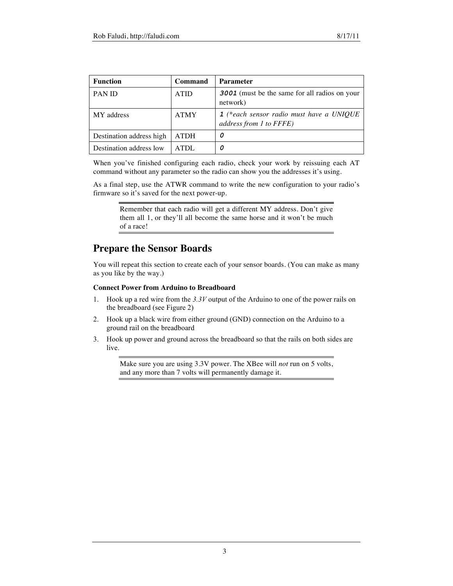| <b>Function</b>          | Command     | <b>Parameter</b>                                                      |
|--------------------------|-------------|-----------------------------------------------------------------------|
| PAN ID                   | <b>ATID</b> | <b>3001</b> (must be the same for all radios on your<br>network)      |
| MY address               | <b>ATMY</b> | $1$ (*each sensor radio must have a UNIQUE<br>address from 1 to FFFE) |
| Destination address high | <b>ATDH</b> | 0                                                                     |
| Destination address low  | $ATDI$ .    | 0                                                                     |

When you've finished configuring each radio, check your work by reissuing each AT command without any parameter so the radio can show you the addresses it's using.

As a final step, use the ATWR command to write the new configuration to your radio's firmware so it's saved for the next power-up.

Remember that each radio will get a different MY address. Don't give them all 1, or they'll all become the same horse and it won't be much of a race!

### **Prepare the Sensor Boards**

You will repeat this section to create each of your sensor boards. (You can make as many as you like by the way.)

#### **Connect Power from Arduino to Breadboard**

- 1. Hook up a red wire from the *3.3V* output of the Arduino to one of the power rails on the breadboard (see Figure 2)
- 2. Hook up a black wire from either ground (GND) connection on the Arduino to a ground rail on the breadboard
- 3. Hook up power and ground across the breadboard so that the rails on both sides are live.

Make sure you are using 3.3V power. The XBee will *not* run on 5 volts, and any more than 7 volts will permanently damage it.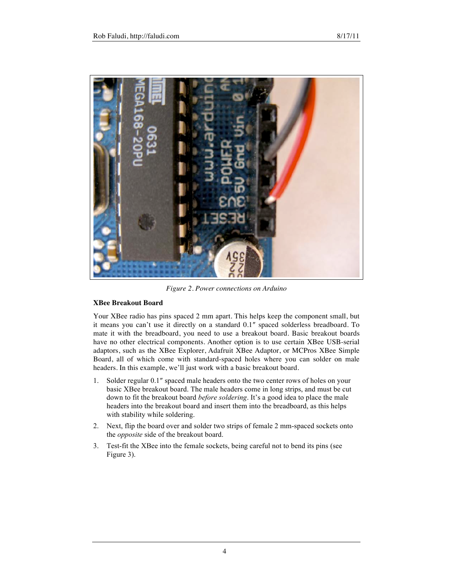

*Figure 2. Power connections on Arduino*

#### **XBee Breakout Board**

Your XBee radio has pins spaced 2 mm apart. This helps keep the component small, but it means you can't use it directly on a standard 0.1″ spaced solderless breadboard. To mate it with the breadboard, you need to use a breakout board. Basic breakout boards have no other electrical components. Another option is to use certain XBee USB-serial adaptors, such as the XBee Explorer, Adafruit XBee Adaptor, or MCPros XBee Simple Board, all of which come with standard-spaced holes where you can solder on male headers. In this example, we'll just work with a basic breakout board.

- 1. Solder regular 0.1″ spaced male headers onto the two center rows of holes on your basic XBee breakout board. The male headers come in long strips, and must be cut down to fit the breakout board *before soldering*. It's a good idea to place the male headers into the breakout board and insert them into the breadboard, as this helps with stability while soldering.
- 2. Next, flip the board over and solder two strips of female 2 mm-spaced sockets onto the *opposite* side of the breakout board.
- 3. Test-fit the XBee into the female sockets, being careful not to bend its pins (see Figure 3).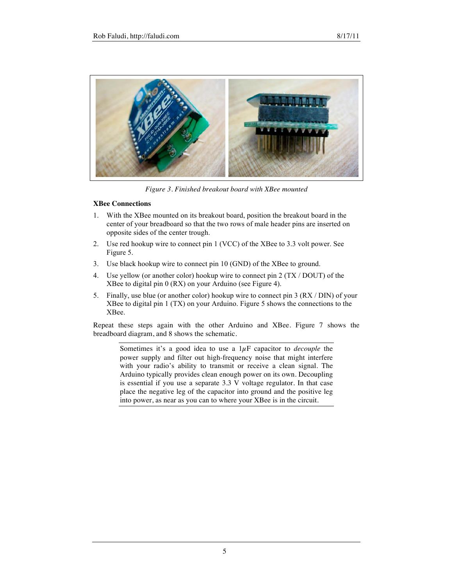

*Figure 3. Finished breakout board with XBee mounted*

#### **XBee Connections**

- 1. With the XBee mounted on its breakout board, position the breakout board in the center of your breadboard so that the two rows of male header pins are inserted on opposite sides of the center trough.
- 2. Use red hookup wire to connect pin 1 (VCC) of the XBee to 3.3 volt power. See Figure 5.
- 3. Use black hookup wire to connect pin 10 (GND) of the XBee to ground.
- 4. Use yellow (or another color) hookup wire to connect pin 2 (TX / DOUT) of the XBee to digital pin 0 (RX) on your Arduino (see Figure 4).
- 5. Finally, use blue (or another color) hookup wire to connect pin 3 (RX / DIN) of your XBee to digital pin 1 (TX) on your Arduino. Figure 5 shows the connections to the XBee.

Repeat these steps again with the other Arduino and XBee. Figure 7 shows the breadboard diagram, and 8 shows the schematic.

Sometimes it's a good idea to use a 1µF capacitor to *decouple* the power supply and filter out high-frequency noise that might interfere with your radio's ability to transmit or receive a clean signal. The Arduino typically provides clean enough power on its own. Decoupling is essential if you use a separate 3.3 V voltage regulator. In that case place the negative leg of the capacitor into ground and the positive leg into power, as near as you can to where your XBee is in the circuit.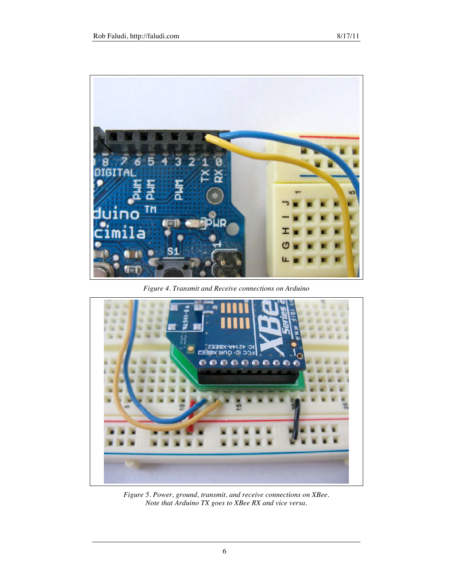

*Figure 4. Transmit and Receive connections on Arduino*



*Figure 5. Power, ground, transmit, and receive connections on XBee. Note that Arduino TX goes to XBee RX and vice versa.*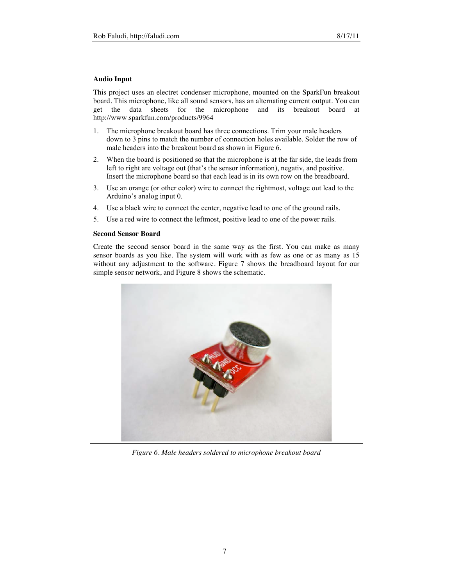#### **Audio Input**

This project uses an electret condenser microphone, mounted on the SparkFun breakout board. This microphone, like all sound sensors, has an alternating current output. You can get the data sheets for the microphone and its breakout board at http://www.sparkfun.com/products/9964

- 1. The microphone breakout board has three connections. Trim your male headers down to 3 pins to match the number of connection holes available. Solder the row of male headers into the breakout board as shown in Figure 6.
- 2. When the board is positioned so that the microphone is at the far side, the leads from left to right are voltage out (that's the sensor information), negativ, and positive. Insert the microphone board so that each lead is in its own row on the breadboard.
- 3. Use an orange (or other color) wire to connect the rightmost, voltage out lead to the Arduino's analog input 0.
- 4. Use a black wire to connect the center, negative lead to one of the ground rails.
- 5. Use a red wire to connect the leftmost, positive lead to one of the power rails.

#### **Second Sensor Board**

Create the second sensor board in the same way as the first. You can make as many sensor boards as you like. The system will work with as few as one or as many as 15 without any adjustment to the software. Figure 7 shows the breadboard layout for our simple sensor network, and Figure 8 shows the schematic.



*Figure 6. Male headers soldered to microphone breakout board*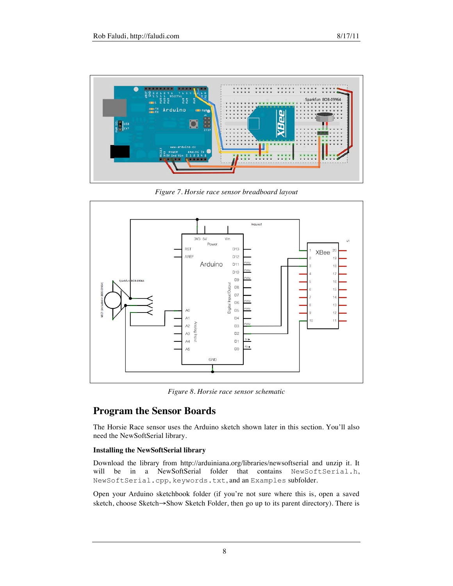

*Figure 7. Horsie race sensor breadboard layout*



*Figure 8. Horsie race sensor schematic*

# **Program the Sensor Boards**

The Horsie Race sensor uses the Arduino sketch shown later in this section. You'll also need the NewSoftSerial library.

### **Installing the NewSoftSerial library**

Download the library from http://arduiniana.org/libraries/newsoftserial and unzip it. It will be in a NewSoftSerial folder that NewSoftSerial.cpp, keywords.txt, and an Examples subfolder.

Open your Arduino sketchbook folder (if you're not sure where this is, open a saved sketch, choose Sketch→Show Sketch Folder, then go up to its parent directory). There is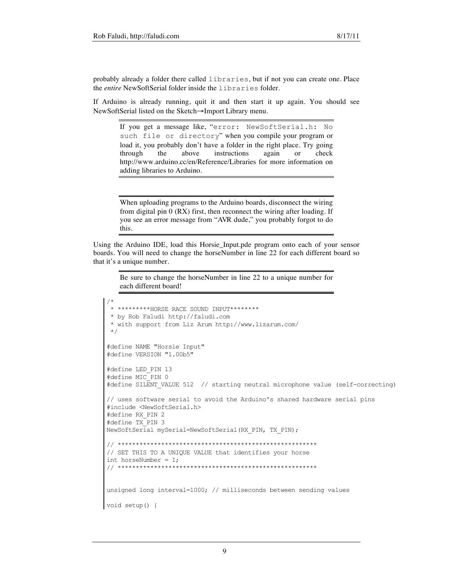probably already a folder there called libraries, but if not you can create one. Place the *entire* NewSoftSerial folder inside the libraries folder.

If Arduino is already running, quit it and then start it up again. You should see NewSoftSerial listed on the Sketch→Import Library menu.

If you get a message like, "error: NewSoftSerial.h: No such file or directory" when you compile your program or load it, you probably don't have a folder in the right place. Try going through the above instructions again or check http://www.arduino.cc/en/Reference/Libraries for more information on adding libraries to Arduino.

When uploading programs to the Arduino boards, disconnect the wiring from digital pin 0 (RX) first, then reconnect the wiring after loading. If you see an error message from "AVR dude," you probably forgot to do this.

Using the Arduino IDE, load this Horsie\_Input.pde program onto each of your sensor boards. You will need to change the horseNumber in line 22 for each different board so that it's a unique number.

Be sure to change the horseNumber in line 22 to a unique number for each different board!

```
/*
 * *********HORSE RACE SOUND INPUT********
 * by Rob Faludi http://faludi.com
 * with support from Liz Arum http://www.lizarum.com/
 */
#define NAME "Horsie Input"
#define VERSION "1.00b5"
#define LED_PIN 13
#define MIC_PIN 0
#define SILENT VALUE 512 // starting neutral microphone value (self-correcting)
// uses software serial to avoid the Arduino's shared hardware serial pins
#include <NewSoftSerial.h>
#define RX_PIN 2
#define TX_PIN 3
NewSoftSerial mySerial=NewSoftSerial(RX_PIN, TX_PIN);
// *******************************************************
// SET THIS TO A UNIQUE VALUE that identifies your horse
int horseNumber = 1;
// *******************************************************
unsigned long interval=1000; // milliseconds between sending values
void setup() {
```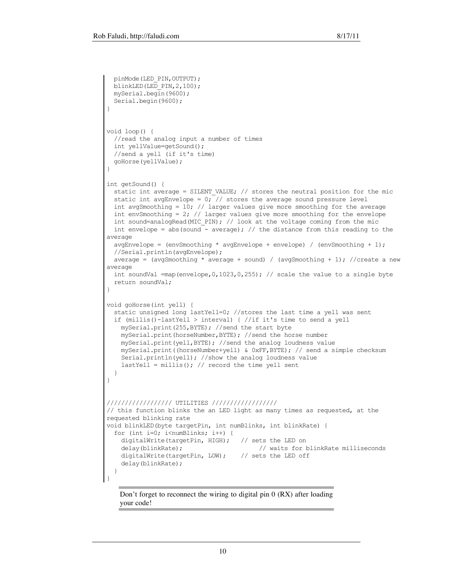```
 pinMode(LED_PIN,OUTPUT);
 blinkLED(LED PIN, 2,100);
  mySerial.begin(9600);
  Serial.begin(9600);
}
void loop() {
  //read the analog input a number of times
  int yellValue=getSound();
  //send a yell (if it's time)
  goHorse(yellValue);
}
int getSound() {
  static int average = SILENT_VALUE; // stores the neutral position for the mic
  static int avgEnvelope = 0; // stores the average sound pressure level
 int avgSmoothing = 10; // larger values give more smoothing for the average
 int envSmoothing = 2; // larger values give more smoothing for the envelope
 int sound=analogRead(MIC_PIN); // look at the voltage coming from the mic
 int envelope = abs(sound - average); // the distance from this reading to the
average
 avgEnvelope = (envSmoothing * avgEnvelope + envelope) / (envSmoothing + 1);
  //Serial.println(avgEnvelope);
 average = (avgSmoothing * average + sound) / (avgSmoothing + 1); //create a new
average
 int soundVal =map(envelope, 0,1023,0,255); // scale the value to a single byte
  return soundVal;
}
void goHorse(int yell) {
  static unsigned long lastYell=0; //stores the last time a yell was sent
   if (millis()-lastYell > interval) { //if it's time to send a yell
    mySerial.print(255,BYTE); //send the start byte
    mySerial.print(horseNumber,BYTE); //send the horse number
    mySerial.print(yell,BYTE); //send the analog loudness value
    mySerial.print((horseNumber+yell) & 0xFF,BYTE); // send a simple checksum
     Serial.println(yell); //show the analog loudness value
    lastYell = millis(); // record the time yell sent
  }
}
////////////////// UTILITIES //////////////////
// this function blinks the an LED light as many times as requested, at the 
requested blinking rate
void blinkLED(byte targetPin, int numBlinks, int blinkRate) {
 for (int i=0; i<numBlinks; i++) {
     digitalWrite(targetPin, HIGH); // sets the LED on
    delay(blinkRate); \frac{1}{2} // waits for blinkRate milliseconds
    digitalWrite(targetPin, LOW); // sets the LED off
     delay(blinkRate);
  }
}
```
Don't forget to reconnect the wiring to digital pin 0 (RX) after loading your code!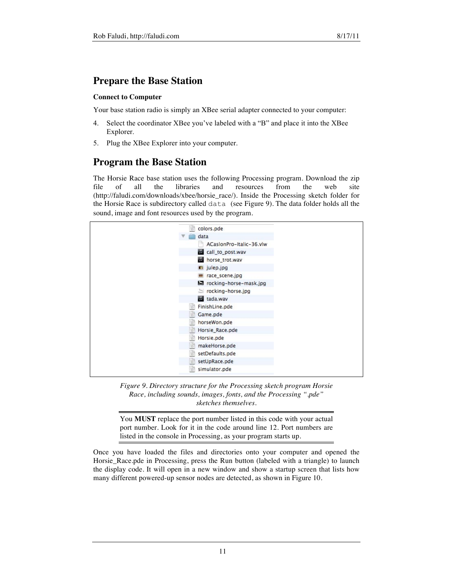### **Prepare the Base Station**

#### **Connect to Computer**

Your base station radio is simply an XBee serial adapter connected to your computer:

- 4. Select the coordinator XBee you've labeled with a "B" and place it into the XBee Explorer.
- 5. Plug the XBee Explorer into your computer.

## **Program the Base Station**

The Horsie Race base station uses the following Processing program. Download the zip file of all the libraries and resources from the web site (http://faludi.com/downloads/xbee/horsie\_race/). Inside the Processing sketch folder for the Horsie Race is subdirectory called data (see Figure 9). The data folder holds all the sound, image and font resources used by the program.

| 랔<br>colors.pde          |
|--------------------------|
| data                     |
| ACasionPro-Italic-36.vlw |
| 22<br>call_to_post.wav   |
| horse_trot.wav<br>P.     |
| ulep.jpg                 |
| race_scene.jpg           |
| rocking-horse-mask.jpg   |
| tocking-horse.jpg        |
| <b>El</b> tada.wav       |
| FinishLine.pde<br>冒      |
| Game.pde<br>宦            |
| horseWon.pde<br>旨        |
| Horsie_Race.pde<br>宦     |
| Horsie.pde<br>旨          |
| makeHorse.pde<br>当       |
| setDefaults.pde<br>岜     |
| setUpRace.pde<br>冒       |
| simulator.pde<br>這       |

*Figure 9. Directory structure for the Processing sketch program Horsie Race, including sounds, images, fonts, and the Processing ".pde" sketches themselves.*

You **MUST** replace the port number listed in this code with your actual port number. Look for it in the code around line 12. Port numbers are listed in the console in Processing, as your program starts up.

Once you have loaded the files and directories onto your computer and opened the Horsie\_Race.pde in Processing, press the Run button (labeled with a triangle) to launch the display code. It will open in a new window and show a startup screen that lists how many different powered-up sensor nodes are detected, as shown in Figure 10.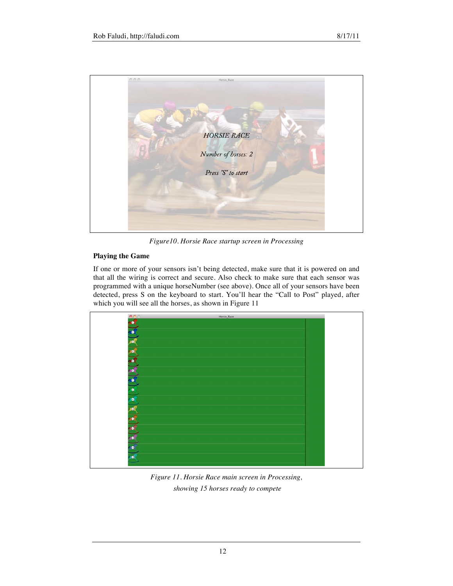

*Figure10. Horsie Race startup screen in Processing*

#### **Playing the Game**

If one or more of your sensors isn't being detected, make sure that it is powered on and that all the wiring is correct and secure. Also check to make sure that each sensor was programmed with a unique horseNumber (see above). Once all of your sensors have been detected, press S on the keyboard to start. You'll hear the "Call to Post" played, after which you will see all the horses, as shown in Figure 11



*Figure 11. Horsie Race main screen in Processing, showing 15 horses ready to compete*